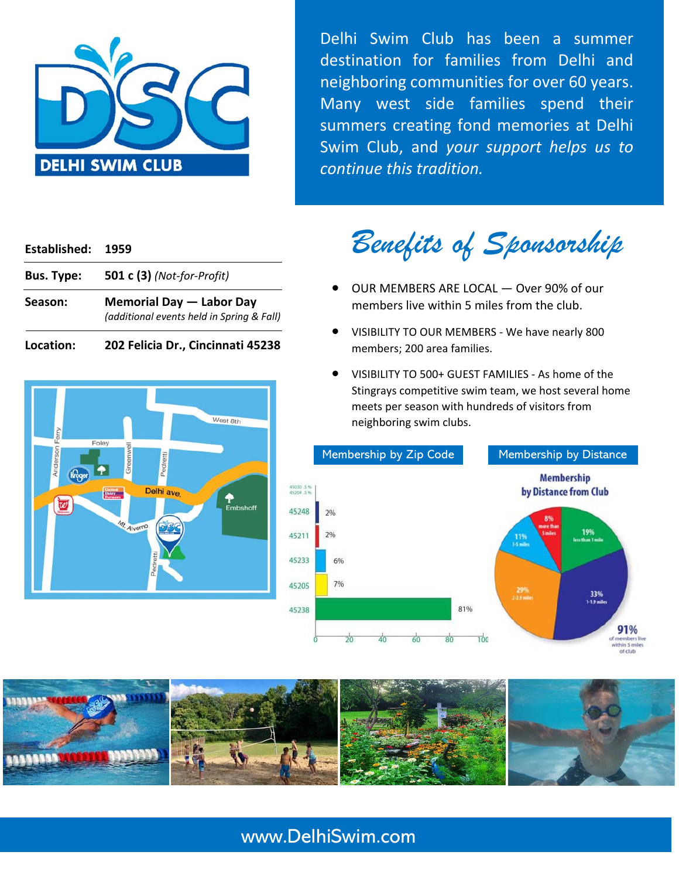

Delhi Swim Club has been a summer destination for families from Delhi and neighboring communities for over 60 years. Many west side families spend their summers creating fond memories at Delhi Swim Club, and *your support helps us to continue this tradition.*

#### **Established: 1959**

| <b>Bus. Type:</b> | <b>501 c (3)</b> (Not-for-Profit)                                     |
|-------------------|-----------------------------------------------------------------------|
| Season:           | Memorial Day - Labor Day<br>(additional events held in Spring & Fall) |

| Location: |  |  | 202 Felicia Dr., Cincinnati 45238 |
|-----------|--|--|-----------------------------------|
|-----------|--|--|-----------------------------------|



*Benefits of Sponsorship* 

- OUR MEMBERS ARE LOCAL Over 90% of our members live within 5 miles from the club.
- VISIBILITY TO OUR MEMBERS We have nearly 800 members; 200 area families.
- VISIBILITY TO 500+ GUEST FAMILIES As home of the Stingrays competitive swim team, we host several home meets per season with hundreds of visitors from neighboring swim clubs.





# www.DelhiSwim.com